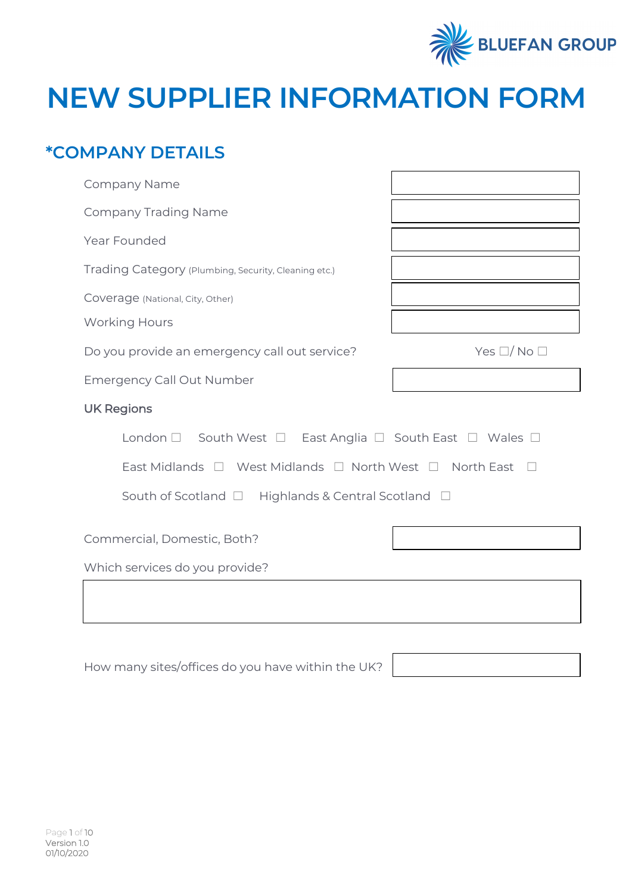

# **NEW SUPPLIER INFORMATION FORM**

### **\*COMPANY DETAILS**

| Company Name                                             |                             |
|----------------------------------------------------------|-----------------------------|
| <b>Company Trading Name</b>                              |                             |
| Year Founded                                             |                             |
| Trading Category (Plumbing, Security, Cleaning etc.)     |                             |
| Coverage (National, City, Other)                         |                             |
| <b>Working Hours</b>                                     |                             |
| Do you provide an emergency call out service?            | Yes $\square/N$ o $\square$ |
| <b>Emergency Call Out Number</b>                         |                             |
| <b>UK Regions</b>                                        |                             |
| London □ South West □ East Anglia □ South East □ Wales □ |                             |
| East Midlands □ West Midlands □ North West □ North East  |                             |
| South of Scotland □ Highlands & Central Scotland □       |                             |
| Commercial, Domestic, Both?                              |                             |
| Which services do you provide?                           |                             |
|                                                          |                             |
|                                                          |                             |

How many sites/offices do you have within the UK?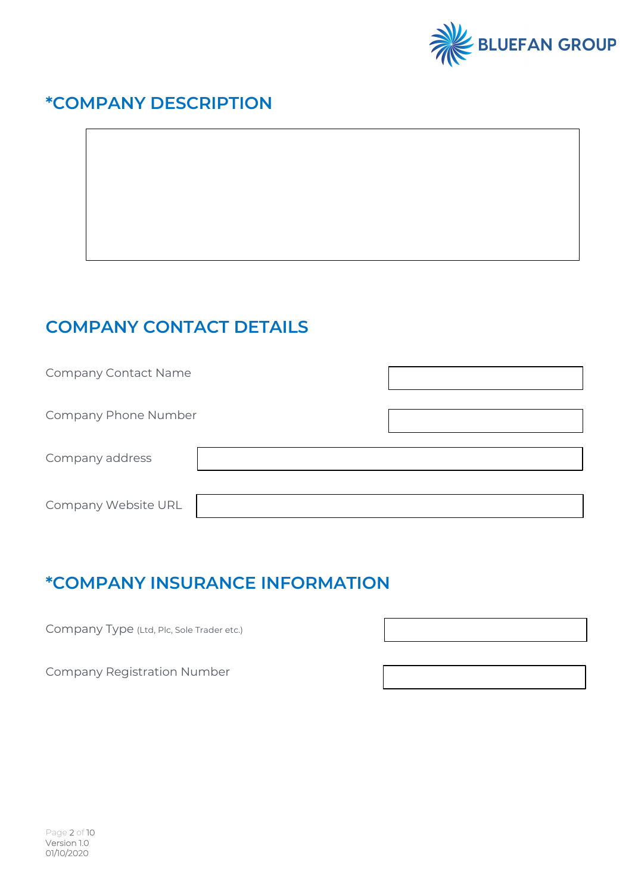

## **\*COMPANY DESCRIPTION**

# **COMPANY CONTACT DETAILS**

| <b>Company Contact Name</b> |  |
|-----------------------------|--|
| Company Phone Number        |  |
| Company address             |  |
| Company Website URL         |  |

### **\*COMPANY INSURANCE INFORMATION**

Company Type (Ltd, Plc, Sole Trader etc.)

Company Registration Number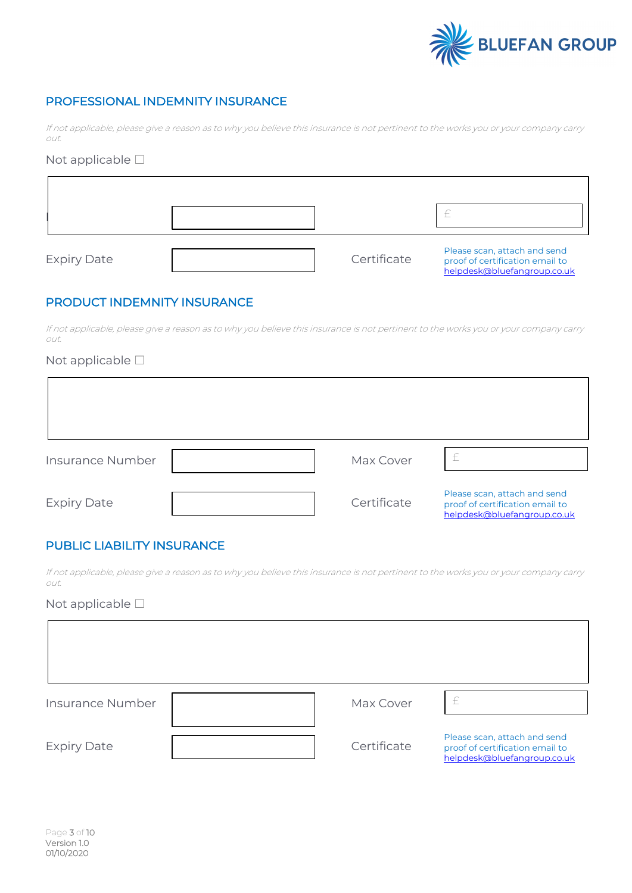

#### PROFESSIONAL INDEMNITY INSURANCE

If not applicable, please give a reason as to why you believe this insurance is not pertinent to the works you or your company carry out.

#### Not applicable □

| <b>Expiry Date</b> | Certificate | Please scan, attach and send<br>proof of certification email to<br>helpdesk@bluefangroup.co.uk |
|--------------------|-------------|------------------------------------------------------------------------------------------------|

#### PRODUCT INDEMNITY INSURANCE

If not applicable, please give a reason as to why you believe this insurance is not pertinent to the works you or your company carry out.

#### Not applicable □

| Insurance Number   | Max Cover   |                                                                                                |
|--------------------|-------------|------------------------------------------------------------------------------------------------|
| <b>Expiry Date</b> | Certificate | Please scan, attach and send<br>proof of certification email to<br>helpdesk@bluefangroup.co.uk |

#### PUBLIC LIABILITY INSURANCE

If not applicable, please give a reason as to why you believe this insurance is not pertinent to the works you or your company carry out.

#### Not applicable □

| Insurance Number   | Max Cover   | i.                                                                                             |
|--------------------|-------------|------------------------------------------------------------------------------------------------|
| <b>Expiry Date</b> | Certificate | Please scan, attach and send<br>proof of certification email to<br>helpdesk@bluefangroup.co.uk |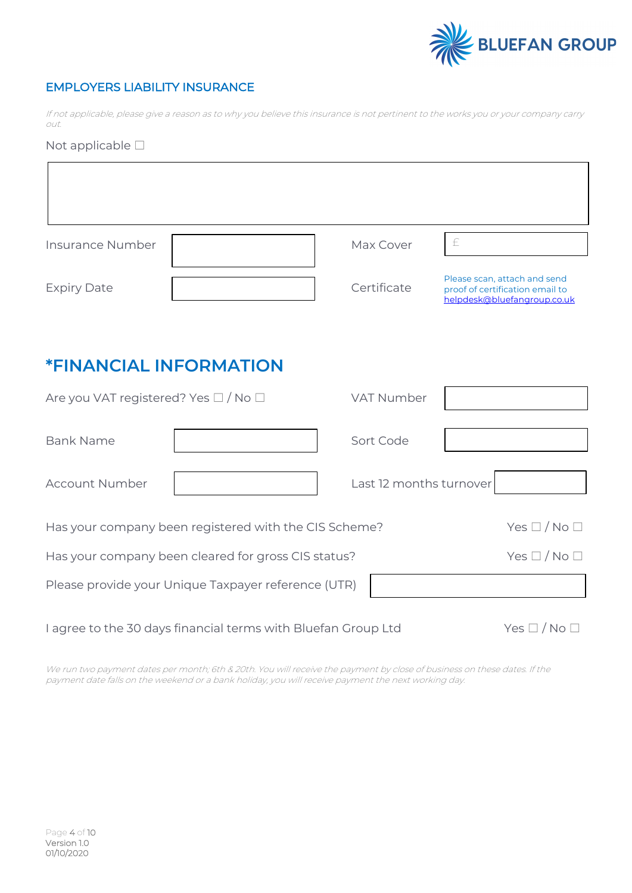

#### EMPLOYERS LIABILITY INSURANCE

If not applicable, please give a reason as to why you believe this insurance is not pertinent to the works you or your company carry out.

#### Not applicable □

| Insurance Number                     |                                                               | Max Cover               | $\pm$                                                                                          |
|--------------------------------------|---------------------------------------------------------------|-------------------------|------------------------------------------------------------------------------------------------|
| <b>Expiry Date</b>                   |                                                               | Certificate             | Please scan, attach and send<br>proof of certification email to<br>helpdesk@bluefangroup.co.uk |
| <b><i>*FINANCIAL INFORMATION</i></b> |                                                               |                         |                                                                                                |
| Are you VAT registered? Yes □ / No □ |                                                               | VAT Number              |                                                                                                |
| <b>Bank Name</b>                     |                                                               | Sort Code               |                                                                                                |
| <b>Account Number</b>                |                                                               | Last 12 months turnover |                                                                                                |
|                                      | Has your company been registered with the CIS Scheme?         |                         | Yes $\square$ / No $\square$                                                                   |
|                                      | Has your company been cleared for gross CIS status?           |                         | Yes $\square$ / No $\square$                                                                   |
|                                      | Please provide your Unique Taxpayer reference (UTR)           |                         |                                                                                                |
|                                      | I agree to the 30 days financial terms with Bluefan Group Ltd |                         | Yes $\square$ / No $\square$                                                                   |

We run two payment dates per month; 6th & 20th. You will receive the payment by close of business on these dates. If the payment date falls on the weekend or a bank holiday, you will receive payment the next working day.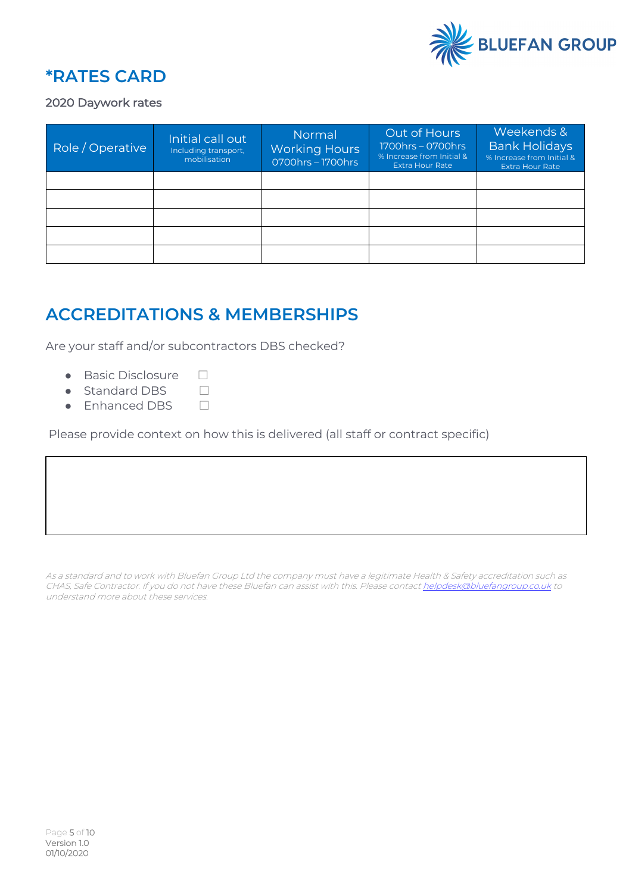

### **\*RATES CARD**

#### 2020 Daywork rates

| Role / Operative | Initial call out<br>Including transport,<br>mobilisation | Normal<br><b>Working Hours</b><br>0700hrs - 1700hrs | Out of Hours<br>1700hrs - 0700hrs<br>% Increase from Initial &<br><b>Extra Hour Rate</b> | Weekends &<br><b>Bank Holidays</b><br>% Increase from Initial &<br><b>Extra Hour Rate</b> |
|------------------|----------------------------------------------------------|-----------------------------------------------------|------------------------------------------------------------------------------------------|-------------------------------------------------------------------------------------------|
|                  |                                                          |                                                     |                                                                                          |                                                                                           |
|                  |                                                          |                                                     |                                                                                          |                                                                                           |
|                  |                                                          |                                                     |                                                                                          |                                                                                           |
|                  |                                                          |                                                     |                                                                                          |                                                                                           |
|                  |                                                          |                                                     |                                                                                          |                                                                                           |

### **ACCREDITATIONS & MEMBERSHIPS**

Are your staff and/or subcontractors DBS checked?

- $\bullet$  Basic Disclosure  $\Box$
- $\bullet$  Standard DBS  $\Box$
- Enhanced DBS □

Please provide context on how this is delivered (all staff or contract specific)

As a standard and to work with Bluefan Group Ltd the company must have a legitimate Health & Safety accreditation such as CHAS, Safe Contractor. If you do not have these Bluefan can assist with this. Please contact helpdesk@bluefangroup.co.uk to understand more about these services.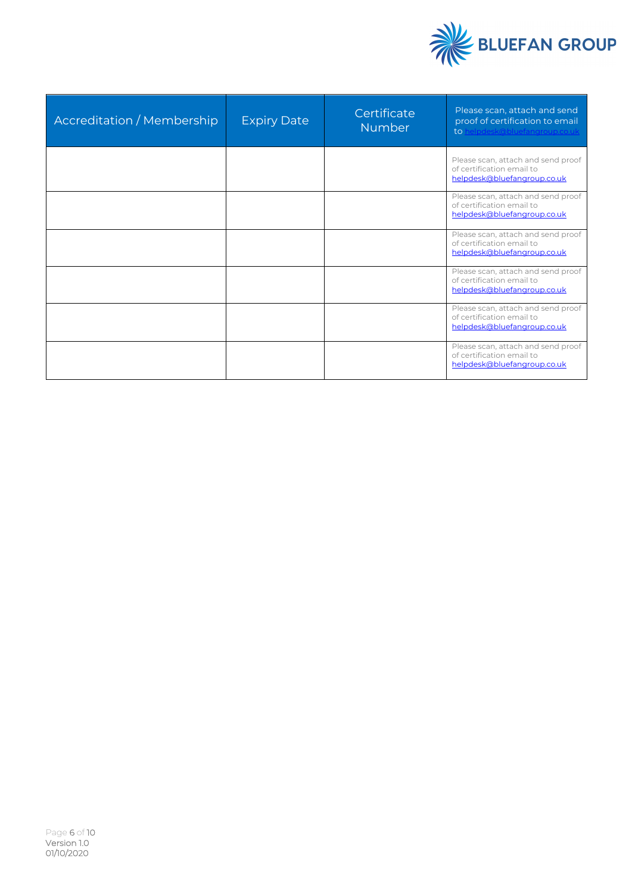

| Accreditation / Membership | <b>Expiry Date</b> | Certificate<br>Number | Please scan, attach and send<br>proof of certification to email<br>to helpdesk@bluefangroup.co.uk |
|----------------------------|--------------------|-----------------------|---------------------------------------------------------------------------------------------------|
|                            |                    |                       | Please scan, attach and send proof<br>of certification email to<br>helpdesk@bluefangroup.co.uk    |
|                            |                    |                       | Please scan, attach and send proof<br>of certification email to<br>helpdesk@bluefangroup.co.uk    |
|                            |                    |                       | Please scan, attach and send proof<br>of certification email to<br>helpdesk@bluefangroup.co.uk    |
|                            |                    |                       | Please scan, attach and send proof<br>of certification email to<br>helpdesk@bluefangroup.co.uk    |
|                            |                    |                       | Please scan, attach and send proof<br>of certification email to<br>helpdesk@bluefangroup.co.uk    |
|                            |                    |                       | Please scan, attach and send proof<br>of certification email to<br>helpdesk@bluefangroup.co.uk    |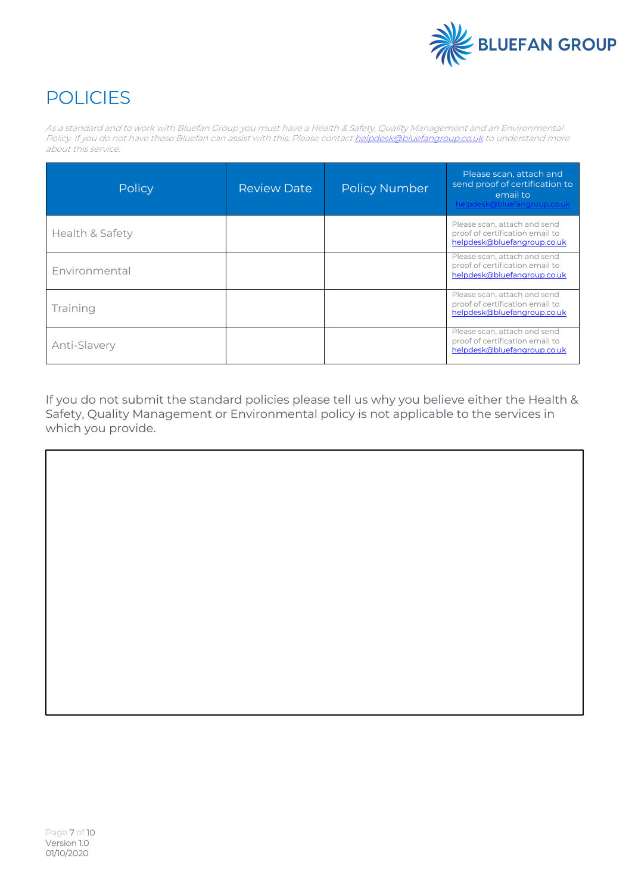

# POLICIES

As a standard and to work with Bluefan Group you must have a Health & Safety, Quality Management and an Environmental Policy. If you do not have these Bluefan can assist with this. Please contact helpdesk@bluefangroup.co.uk to understand more about this service.

| Policy          | <b>Review Date</b> | <b>Policy Number</b> | Please scan, attach and<br>send proof of certification to<br>email to<br>odesk@bluefangroup.co.uk |
|-----------------|--------------------|----------------------|---------------------------------------------------------------------------------------------------|
| Health & Safety |                    |                      | Please scan, attach and send<br>proof of certification email to<br>helpdesk@bluefangroup.co.uk    |
| Environmental   |                    |                      | Please scan, attach and send<br>proof of certification email to<br>helpdesk@bluefangroup.co.uk    |
| Training        |                    |                      | Please scan, attach and send<br>proof of certification email to<br>helpdesk@bluefangroup.co.uk    |
| Anti-Slavery    |                    |                      | Please scan, attach and send<br>proof of certification email to<br>helpdesk@bluefangroup.co.uk    |

If you do not submit the standard policies please tell us why you believe either the Health & Safety, Quality Management or Environmental policy is not applicable to the services in which you provide.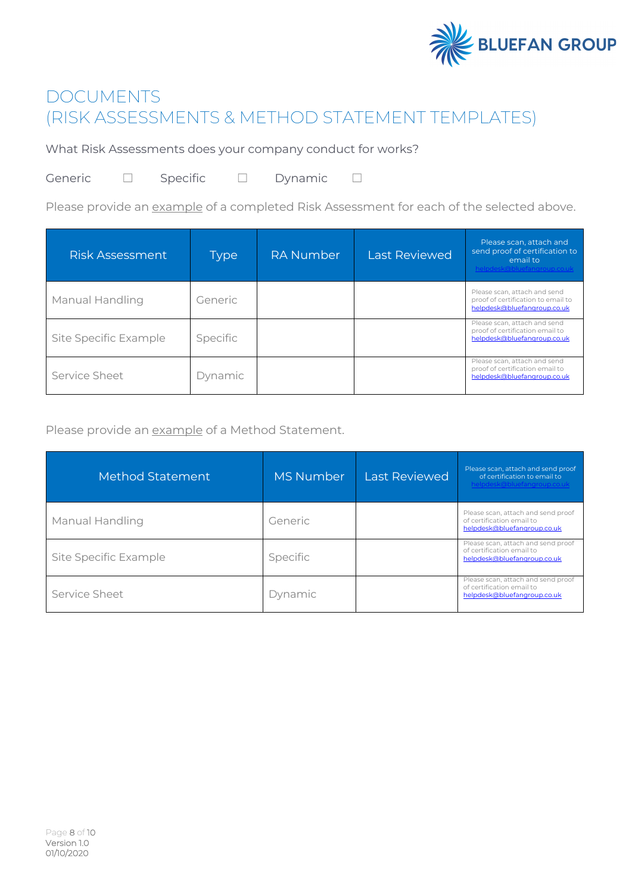

# DOCUMENTS (RISK ASSESSMENTS & METHOD STATEMENT TEMPLATES)

What Risk Assessments does your company conduct for works?

Generic □ Specific □ Dynamic □

Please provide an example of a completed Risk Assessment for each of the selected above.

| Risk Assessment       | <b>Type</b> | <b>RA Number</b> | <b>Last Reviewed</b> | Please scan, attach and<br>send proof of certification to<br>email to                             |
|-----------------------|-------------|------------------|----------------------|---------------------------------------------------------------------------------------------------|
| Manual Handling       | Generic     |                  |                      | Please scan, attach and send<br>proof of certification to email to<br>helpdesk@bluefangroup.co.uk |
| Site Specific Example | Specific    |                  |                      | Please scan, attach and send<br>proof of certification email to<br>helpdesk@bluefangroup.co.uk    |
| Service Sheet         | Dynamic     |                  |                      | Please scan, attach and send<br>proof of certification email to<br>helpdesk@bluefangroup.co.uk    |

Please provide an example of a Method Statement.

| Method Statement      | <b>MS Number</b> | Last Reviewed | Please scan, attach and send proof<br>of certification to email to<br>helpdesk@bluefangroup.co.uk |
|-----------------------|------------------|---------------|---------------------------------------------------------------------------------------------------|
| Manual Handling       | Generic          |               | Please scan, attach and send proof<br>of certification email to<br>helpdesk@bluefangroup.co.uk    |
| Site Specific Example | Specific         |               | Please scan, attach and send proof<br>of certification email to<br>helpdesk@bluefangroup.co.uk    |
| Service Sheet         | Dynamic          |               | Please scan, attach and send proof<br>of certification email to<br>helpdesk@bluefangroup.co.uk    |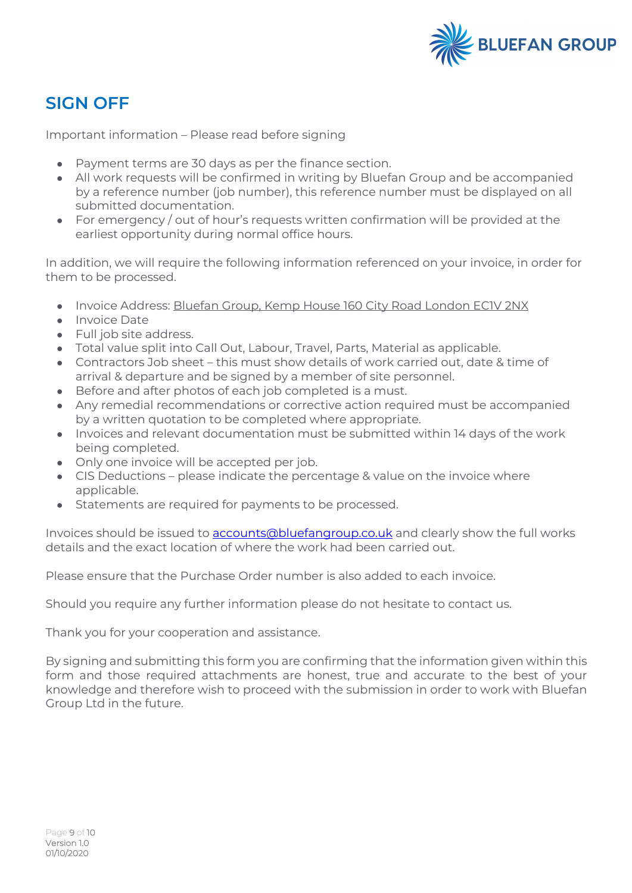

# **SIGN OFF**

Important information – Please read before signing

- Payment terms are 30 days as per the finance section.
- All work requests will be confirmed in writing by Bluefan Group and be accompanied by a reference number (job number), this reference number must be displayed on all submitted documentation.
- For emergency / out of hour's requests written confirmation will be provided at the earliest opportunity during normal office hours.

In addition, we will require the following information referenced on your invoice, in order for them to be processed.

- Invoice Address: Bluefan Group, Kemp House 160 City Road London EC1V 2NX
- Invoice Date
- Full job site address.
- Total value split into Call Out, Labour, Travel, Parts, Material as applicable.
- Contractors Job sheet this must show details of work carried out, date & time of arrival & departure and be signed by a member of site personnel.
- Before and after photos of each job completed is a must.
- Any remedial recommendations or corrective action required must be accompanied by a written quotation to be completed where appropriate.
- Invoices and relevant documentation must be submitted within 14 days of the work being completed.
- Only one invoice will be accepted per job.
- CIS Deductions please indicate the percentage & value on the invoice where applicable.
- Statements are required for payments to be processed.

Invoices should be issued to accounts@bluefangroup.co.uk and clearly show the full works details and the exact location of where the work had been carried out.

Please ensure that the Purchase Order number is also added to each invoice.

Should you require any further information please do not hesitate to contact us.

Thank you for your cooperation and assistance.

By signing and submitting this form you are confirming that the information given within this form and those required attachments are honest, true and accurate to the best of your knowledge and therefore wish to proceed with the submission in order to work with Bluefan Group Ltd in the future.